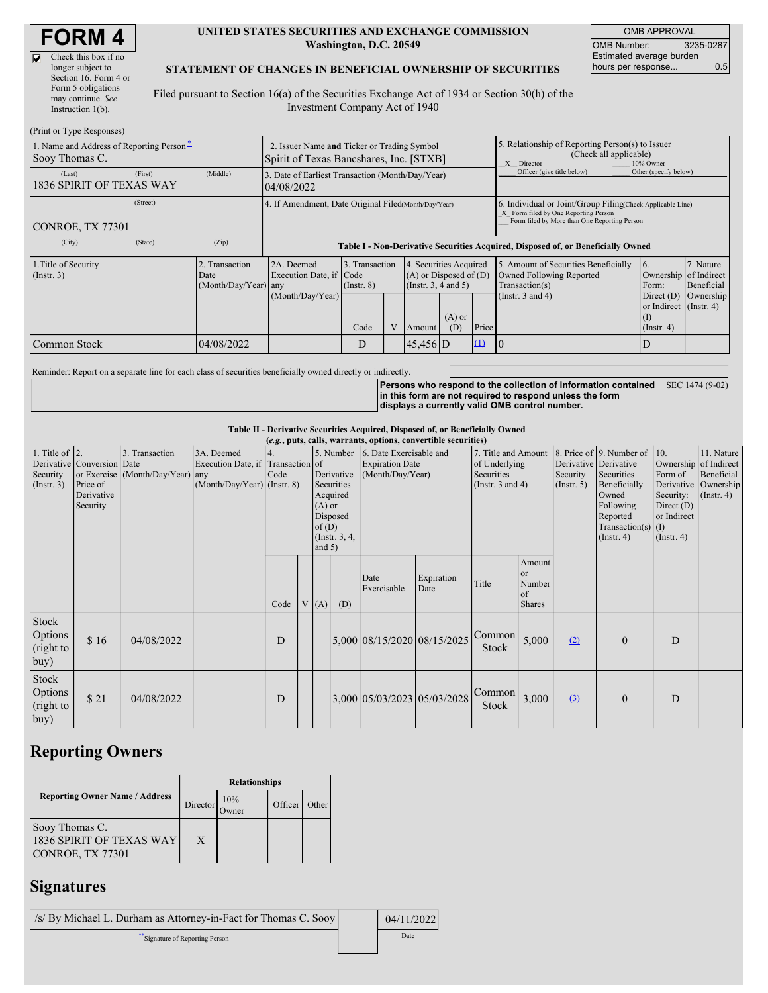| Check this box if no  |
|-----------------------|
| longer subject to     |
| Section 16. Form 4 or |
| Form 5 obligations    |
| may continue. See     |
| Instruction 1(b).     |

 $(n + i)$  Type  $T$ 

 $\overline{\mathbf{v}}$ 

#### **UNITED STATES SECURITIES AND EXCHANGE COMMISSION Washington, D.C. 20549**

OMB APPROVAL OMB Number: 3235-0287 Estimated average burden hours per response... 0.5

#### **STATEMENT OF CHANGES IN BENEFICIAL OWNERSHIP OF SECURITIES**

Filed pursuant to Section 16(a) of the Securities Exchange Act of 1934 or Section 30(h) of the Investment Company Act of 1940

| $(1 \text{ min of 1 ypc respectively})$<br>1. Name and Address of Reporting Person-<br>Sooy Thomas C. | 2. Issuer Name and Ticker or Trading Symbol<br>Spirit of Texas Bancshares, Inc. [STXB] |                                                                                  |                                   |  |                                                                              | 5. Relationship of Reporting Person(s) to Issuer<br>(Check all applicable)<br>X Director<br>10% Owner |                                                                                                                                                    |                                                                                    |                                                                   |                         |  |
|-------------------------------------------------------------------------------------------------------|----------------------------------------------------------------------------------------|----------------------------------------------------------------------------------|-----------------------------------|--|------------------------------------------------------------------------------|-------------------------------------------------------------------------------------------------------|----------------------------------------------------------------------------------------------------------------------------------------------------|------------------------------------------------------------------------------------|-------------------------------------------------------------------|-------------------------|--|
| (First)<br>(Last)<br>1836 SPIRIT OF TEXAS WAY                                                         | (Middle)                                                                               | 3. Date of Earliest Transaction (Month/Day/Year)<br>04/08/2022                   |                                   |  |                                                                              |                                                                                                       | Officer (give title below)                                                                                                                         | Other (specify below)                                                              |                                                                   |                         |  |
| (Street)<br><b>CONROE, TX 77301</b>                                                                   |                                                                                        | 4. If Amendment, Date Original Filed(Month/Day/Year)                             |                                   |  |                                                                              |                                                                                                       | 6. Individual or Joint/Group Filing(Check Applicable Line)<br>X Form filed by One Reporting Person<br>Form filed by More than One Reporting Person |                                                                                    |                                                                   |                         |  |
| (City)<br>(State)                                                                                     | (Zip)                                                                                  | Table I - Non-Derivative Securities Acquired, Disposed of, or Beneficially Owned |                                   |  |                                                                              |                                                                                                       |                                                                                                                                                    |                                                                                    |                                                                   |                         |  |
| Transaction<br>1. Title of Security<br>$($ Instr. 3 $)$<br>Date<br>(Month/Day/Year) any               |                                                                                        | 2A. Deemed<br>Execution Date, if Code                                            | 3. Transaction<br>$($ Instr. $8)$ |  | 4. Securities Acquired<br>$(A)$ or Disposed of $(D)$<br>(Insert. 3, 4 and 5) |                                                                                                       |                                                                                                                                                    | 5. Amount of Securities Beneficially<br>Owned Following Reported<br>Transaction(s) | 16.<br>Ownership of Indirect<br>Form:                             | 7. Nature<br>Beneficial |  |
|                                                                                                       |                                                                                        | (Month/Day/Year)                                                                 | Code                              |  | Amount                                                                       | $(A)$ or<br>(D)                                                                                       | Price                                                                                                                                              | (Instr. $3$ and $4$ )                                                              | Direct $(D)$<br>or Indirect (Instr. 4)<br>(I)<br>$($ Instr. 4 $)$ | Ownership               |  |
| Common Stock                                                                                          | 04/08/2022                                                                             |                                                                                  | D                                 |  | $45,456$ D                                                                   |                                                                                                       | $\Omega$                                                                                                                                           |                                                                                    | D                                                                 |                         |  |

Reminder: Report on a separate line for each class of securities beneficially owned directly or indirectly.

**Persons who respond to the collection of information contained in this form are not required to respond unless the form displays a currently valid OMB control number.** SEC 1474 (9-02)

#### **Table II - Derivative Securities Acquired, Disposed of, or Beneficially Owned**

| (e.g., puts, calls, warrants, options, convertible securities) |                                                                  |                                                    |                                                                                  |      |  |                                  |                                                                                  |                                                                       |                                                                             |                 |                                                          |                                                                                                                                      |                                                                                                         |                                                                      |  |
|----------------------------------------------------------------|------------------------------------------------------------------|----------------------------------------------------|----------------------------------------------------------------------------------|------|--|----------------------------------|----------------------------------------------------------------------------------|-----------------------------------------------------------------------|-----------------------------------------------------------------------------|-----------------|----------------------------------------------------------|--------------------------------------------------------------------------------------------------------------------------------------|---------------------------------------------------------------------------------------------------------|----------------------------------------------------------------------|--|
| 1. Title of $\vert$ 2.<br>Security<br>$($ Instr. 3 $)$         | Derivative Conversion Date<br>Price of<br>Derivative<br>Security | 3. Transaction<br>or Exercise (Month/Day/Year) any | 3A. Deemed<br>Execution Date, if Transaction of<br>$(Month/Day/Year)$ (Instr. 8) | Code |  | $(A)$ or<br>of $(D)$<br>and $5)$ | 5. Number<br>Derivative<br>Securities<br>Acquired<br>Disposed<br>(Instr. $3, 4,$ | 6. Date Exercisable and<br><b>Expiration Date</b><br>(Month/Day/Year) | 7. Title and Amount<br>of Underlying<br>Securities<br>(Instr. $3$ and $4$ ) |                 | Derivative Derivative<br>Security<br>$($ Instr. 5 $)$    | 8. Price of 9. Number of<br>Securities<br>Beneficially<br>Owned<br>Following<br>Reported<br>Transaction(s) $(I)$<br>$($ Instr. 4 $)$ | 10.<br>Ownership of Indirect<br>Form of<br>Security:<br>Direct $(D)$<br>or Indirect<br>$($ Instr. 4 $)$ | 11. Nature<br>Beneficial<br>Derivative Ownership<br>$($ Instr. 4 $)$ |  |
|                                                                |                                                                  |                                                    |                                                                                  | Code |  | V(A)                             | (D)                                                                              | Date<br>Exercisable                                                   | Expiration<br>Date                                                          | Title           | Amount<br><sub>or</sub><br>Number<br>of<br><b>Shares</b> |                                                                                                                                      |                                                                                                         |                                                                      |  |
| Stock<br>Options<br>(right to<br>buy)                          | \$16                                                             | 04/08/2022                                         |                                                                                  | D    |  |                                  |                                                                                  | 5,000 08/15/2020 08/15/2025                                           |                                                                             | Common<br>Stock | 5,000                                                    | (2)                                                                                                                                  | $\Omega$                                                                                                | D                                                                    |  |
| Stock<br>Options<br>(right to<br>buy)                          | \$21                                                             | 04/08/2022                                         |                                                                                  | D    |  |                                  |                                                                                  | 3,000 05/03/2023 05/03/2028                                           |                                                                             | Common<br>Stock | 3,000                                                    | (3)                                                                                                                                  | $\mathbf{0}$                                                                                            | D                                                                    |  |

## **Reporting Owners**

|                                                                       | <b>Relationships</b> |                      |         |       |  |  |  |
|-----------------------------------------------------------------------|----------------------|----------------------|---------|-------|--|--|--|
| <b>Reporting Owner Name / Address</b>                                 | Director             | 10%<br><b>J</b> wner | Officer | Other |  |  |  |
| Sooy Thomas C.<br><b>1836 SPIRIT OF TEXAS WAY</b><br>CONROE, TX 77301 | X                    |                      |         |       |  |  |  |

# **Signatures**

| $\sqrt{s}$ By Michael L. Durham as Attorney-in-Fact for Thomas C. Sooy | 04/11/2022 |
|------------------------------------------------------------------------|------------|
| Signature of Reporting Person                                          | Date       |